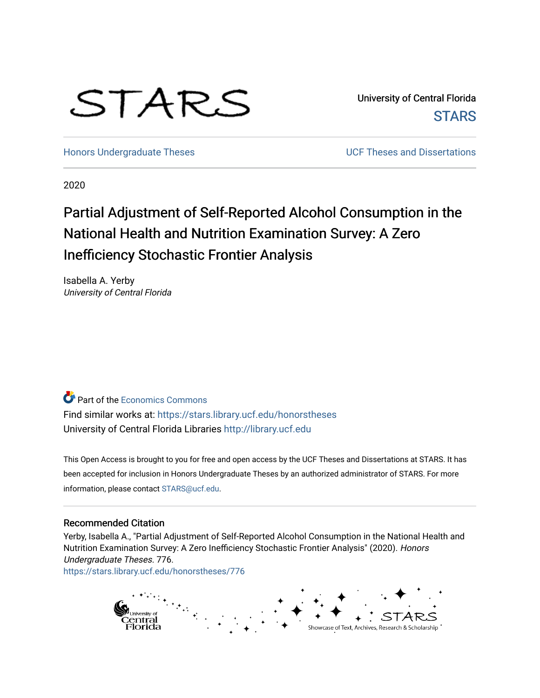# STARS

University of Central Florida **STARS** 

[Honors Undergraduate Theses](https://stars.library.ucf.edu/honorstheses) **No. 2018** UCF Theses and Dissertations

2020

# Partial Adjustment of Self-Reported Alcohol Consumption in the National Health and Nutrition Examination Survey: A Zero Inefficiency Stochastic Frontier Analysis

Isabella A. Yerby University of Central Florida

**Part of the [Economics Commons](http://network.bepress.com/hgg/discipline/340?utm_source=stars.library.ucf.edu%2Fhonorstheses%2F776&utm_medium=PDF&utm_campaign=PDFCoverPages)** Find similar works at: <https://stars.library.ucf.edu/honorstheses> University of Central Florida Libraries [http://library.ucf.edu](http://library.ucf.edu/) 

This Open Access is brought to you for free and open access by the UCF Theses and Dissertations at STARS. It has been accepted for inclusion in Honors Undergraduate Theses by an authorized administrator of STARS. For more information, please contact [STARS@ucf.edu.](mailto:STARS@ucf.edu)

# Recommended Citation

Yerby, Isabella A., "Partial Adjustment of Self-Reported Alcohol Consumption in the National Health and Nutrition Examination Survey: A Zero Inefficiency Stochastic Frontier Analysis" (2020). Honors Undergraduate Theses. 776. [https://stars.library.ucf.edu/honorstheses/776](https://stars.library.ucf.edu/honorstheses/776?utm_source=stars.library.ucf.edu%2Fhonorstheses%2F776&utm_medium=PDF&utm_campaign=PDFCoverPages) 

> entral dorida Showcase of Text, Archives, Research & Scholarship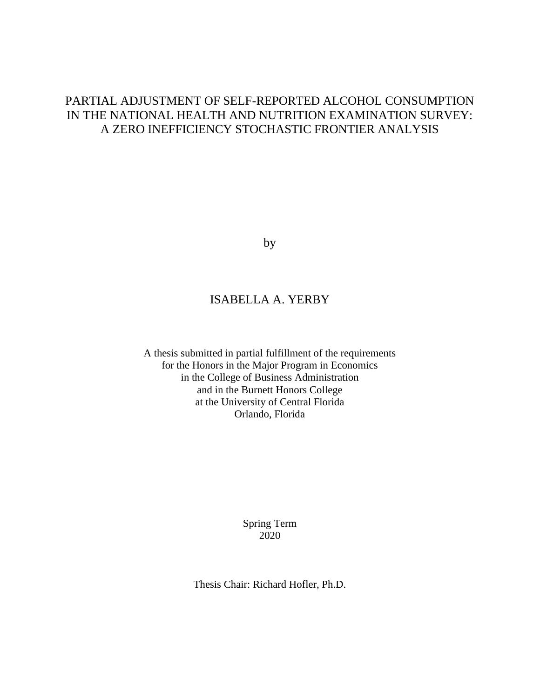# PARTIAL ADJUSTMENT OF SELF-REPORTED ALCOHOL CONSUMPTION IN THE NATIONAL HEALTH AND NUTRITION EXAMINATION SURVEY: A ZERO INEFFICIENCY STOCHASTIC FRONTIER ANALYSIS

by

# ISABELLA A. YERBY

A thesis submitted in partial fulfillment of the requirements for the Honors in the Major Program in Economics in the College of Business Administration and in the Burnett Honors College at the University of Central Florida Orlando, Florida

> Spring Term 2020

Thesis Chair: Richard Hofler, Ph.D.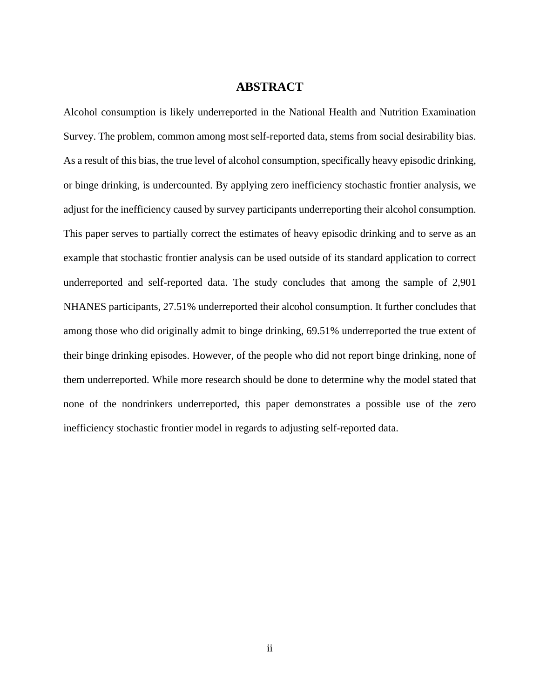# **ABSTRACT**

Alcohol consumption is likely underreported in the National Health and Nutrition Examination Survey. The problem, common among most self-reported data, stems from social desirability bias. As a result of this bias, the true level of alcohol consumption, specifically heavy episodic drinking, or binge drinking, is undercounted. By applying zero inefficiency stochastic frontier analysis, we adjust for the inefficiency caused by survey participants underreporting their alcohol consumption. This paper serves to partially correct the estimates of heavy episodic drinking and to serve as an example that stochastic frontier analysis can be used outside of its standard application to correct underreported and self-reported data. The study concludes that among the sample of 2,901 NHANES participants, 27.51% underreported their alcohol consumption. It further concludes that among those who did originally admit to binge drinking, 69.51% underreported the true extent of their binge drinking episodes. However, of the people who did not report binge drinking, none of them underreported. While more research should be done to determine why the model stated that none of the nondrinkers underreported, this paper demonstrates a possible use of the zero inefficiency stochastic frontier model in regards to adjusting self-reported data.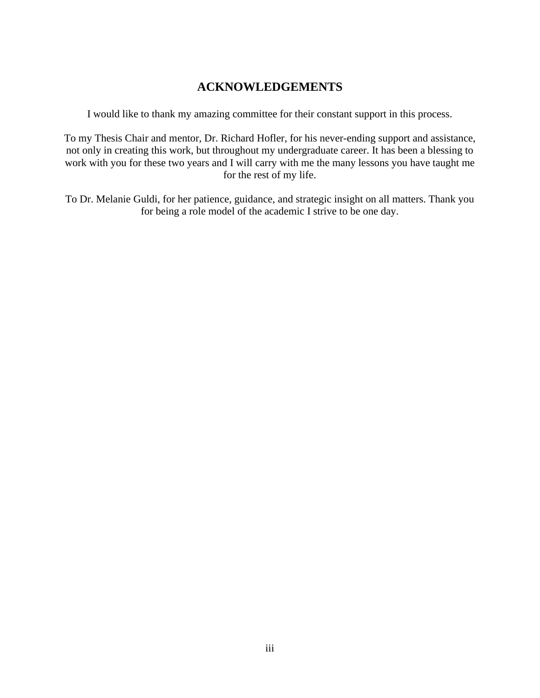# **ACKNOWLEDGEMENTS**

I would like to thank my amazing committee for their constant support in this process.

To my Thesis Chair and mentor, Dr. Richard Hofler, for his never-ending support and assistance, not only in creating this work, but throughout my undergraduate career. It has been a blessing to work with you for these two years and I will carry with me the many lessons you have taught me for the rest of my life.

To Dr. Melanie Guldi, for her patience, guidance, and strategic insight on all matters. Thank you for being a role model of the academic I strive to be one day.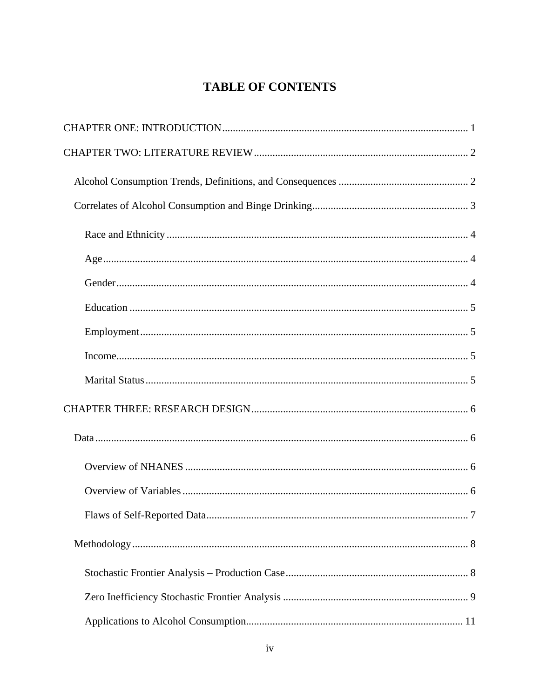# **TABLE OF CONTENTS**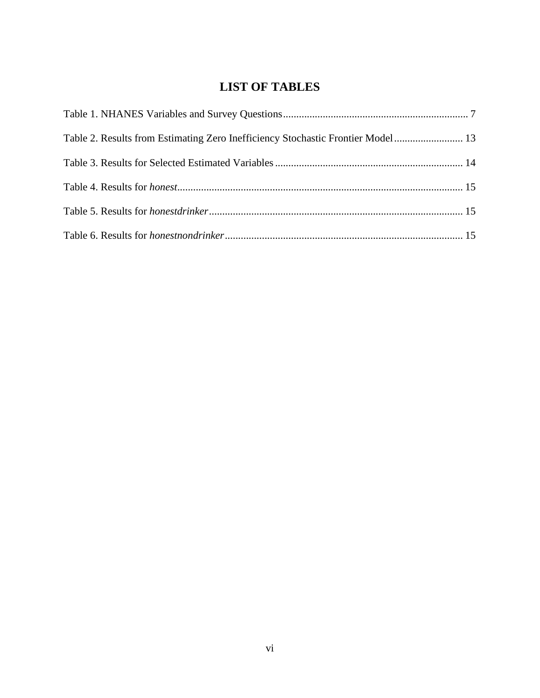# **LIST OF TABLES**

| Table 2. Results from Estimating Zero Inefficiency Stochastic Frontier Model  13 |  |
|----------------------------------------------------------------------------------|--|
|                                                                                  |  |
|                                                                                  |  |
|                                                                                  |  |
|                                                                                  |  |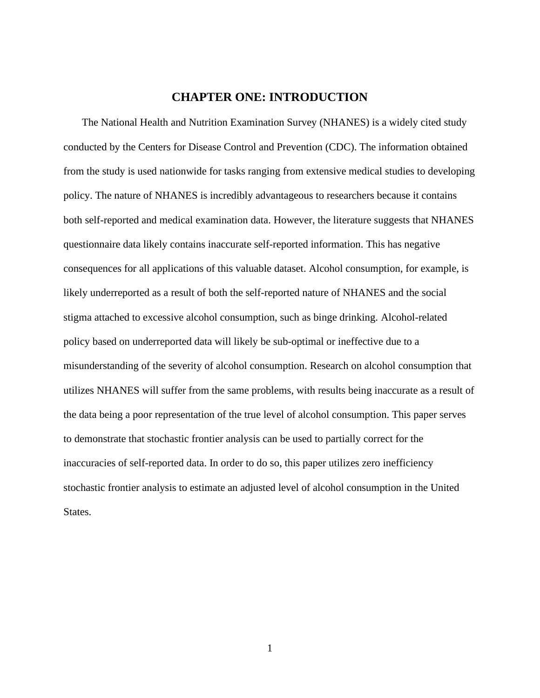# **CHAPTER ONE: INTRODUCTION**

<span id="page-7-0"></span>The National Health and Nutrition Examination Survey (NHANES) is a widely cited study conducted by the Centers for Disease Control and Prevention (CDC). The information obtained from the study is used nationwide for tasks ranging from extensive medical studies to developing policy. The nature of NHANES is incredibly advantageous to researchers because it contains both self-reported and medical examination data. However, the literature suggests that NHANES questionnaire data likely contains inaccurate self-reported information. This has negative consequences for all applications of this valuable dataset. Alcohol consumption, for example, is likely underreported as a result of both the self-reported nature of NHANES and the social stigma attached to excessive alcohol consumption, such as binge drinking. Alcohol-related policy based on underreported data will likely be sub-optimal or ineffective due to a misunderstanding of the severity of alcohol consumption. Research on alcohol consumption that utilizes NHANES will suffer from the same problems, with results being inaccurate as a result of the data being a poor representation of the true level of alcohol consumption. This paper serves to demonstrate that stochastic frontier analysis can be used to partially correct for the inaccuracies of self-reported data. In order to do so, this paper utilizes zero inefficiency stochastic frontier analysis to estimate an adjusted level of alcohol consumption in the United States.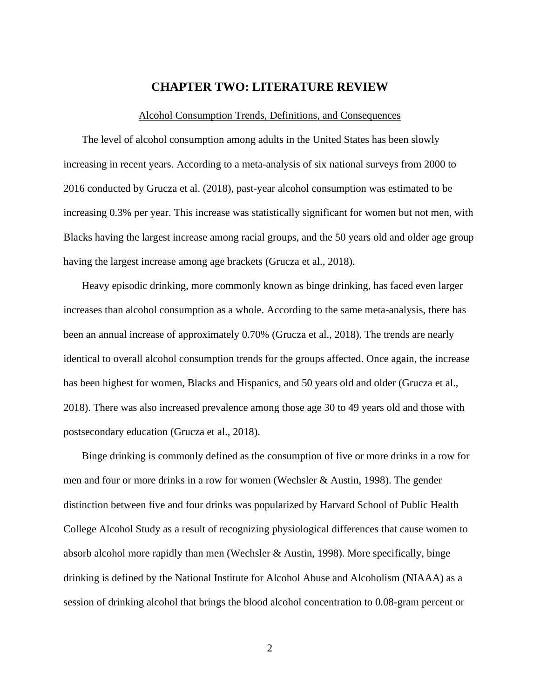# **CHAPTER TWO: LITERATURE REVIEW**

#### Alcohol Consumption Trends, Definitions, and Consequences

<span id="page-8-1"></span><span id="page-8-0"></span>The level of alcohol consumption among adults in the United States has been slowly increasing in recent years. According to a meta-analysis of six national surveys from 2000 to 2016 conducted by Grucza et al. (2018), past-year alcohol consumption was estimated to be increasing 0.3% per year. This increase was statistically significant for women but not men, with Blacks having the largest increase among racial groups, and the 50 years old and older age group having the largest increase among age brackets (Grucza et al., 2018).

Heavy episodic drinking, more commonly known as binge drinking, has faced even larger increases than alcohol consumption as a whole. According to the same meta-analysis, there has been an annual increase of approximately 0.70% (Grucza et al., 2018). The trends are nearly identical to overall alcohol consumption trends for the groups affected. Once again, the increase has been highest for women, Blacks and Hispanics, and 50 years old and older (Grucza et al., 2018). There was also increased prevalence among those age 30 to 49 years old and those with postsecondary education (Grucza et al., 2018).

Binge drinking is commonly defined as the consumption of five or more drinks in a row for men and four or more drinks in a row for women (Wechsler & Austin, 1998). The gender distinction between five and four drinks was popularized by Harvard School of Public Health College Alcohol Study as a result of recognizing physiological differences that cause women to absorb alcohol more rapidly than men (Wechsler & Austin, 1998). More specifically, binge drinking is defined by the National Institute for Alcohol Abuse and Alcoholism (NIAAA) as a session of drinking alcohol that brings the blood alcohol concentration to 0.08-gram percent or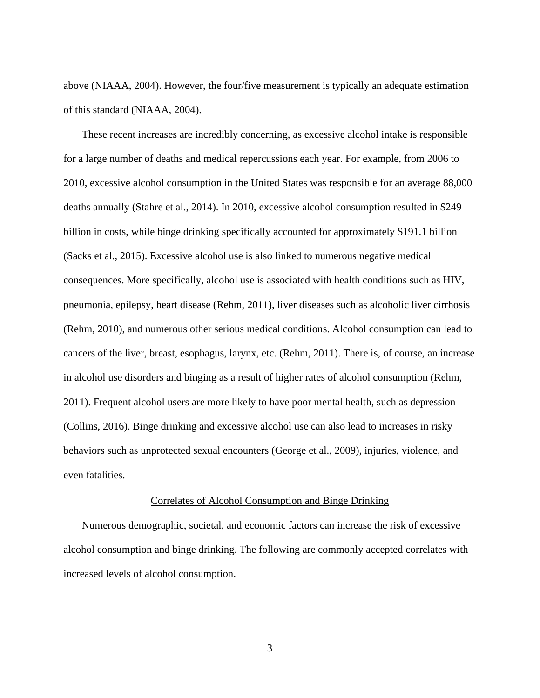above (NIAAA, 2004). However, the four/five measurement is typically an adequate estimation of this standard (NIAAA, 2004).

These recent increases are incredibly concerning, as excessive alcohol intake is responsible for a large number of deaths and medical repercussions each year. For example, from 2006 to 2010, excessive alcohol consumption in the United States was responsible for an average 88,000 deaths annually (Stahre et al., 2014). In 2010, excessive alcohol consumption resulted in \$249 billion in costs, while binge drinking specifically accounted for approximately \$191.1 billion (Sacks et al., 2015). Excessive alcohol use is also linked to numerous negative medical consequences. More specifically, alcohol use is associated with health conditions such as HIV, pneumonia, epilepsy, heart disease (Rehm, 2011), liver diseases such as alcoholic liver cirrhosis (Rehm, 2010), and numerous other serious medical conditions. Alcohol consumption can lead to cancers of the liver, breast, esophagus, larynx, etc. (Rehm, 2011). There is, of course, an increase in alcohol use disorders and binging as a result of higher rates of alcohol consumption (Rehm, 2011). Frequent alcohol users are more likely to have poor mental health, such as depression (Collins, 2016). Binge drinking and excessive alcohol use can also lead to increases in risky behaviors such as unprotected sexual encounters (George et al., 2009), injuries, violence, and even fatalities.

## Correlates of Alcohol Consumption and Binge Drinking

<span id="page-9-0"></span>Numerous demographic, societal, and economic factors can increase the risk of excessive alcohol consumption and binge drinking. The following are commonly accepted correlates with increased levels of alcohol consumption.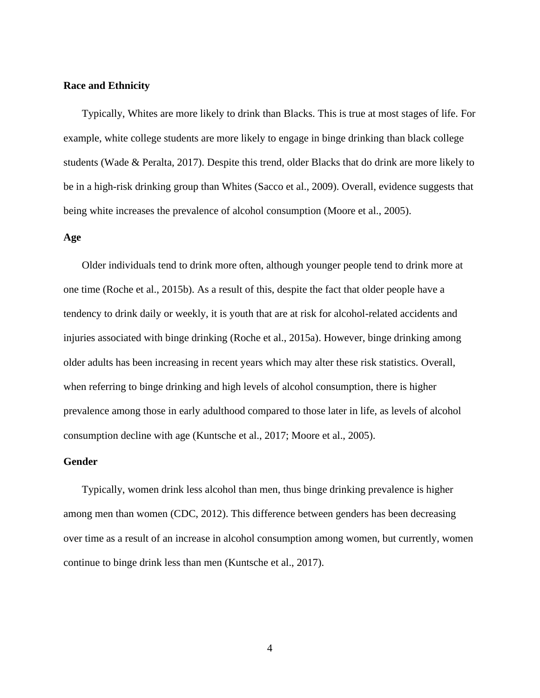#### <span id="page-10-0"></span>**Race and Ethnicity**

Typically, Whites are more likely to drink than Blacks. This is true at most stages of life. For example, white college students are more likely to engage in binge drinking than black college students (Wade & Peralta, 2017). Despite this trend, older Blacks that do drink are more likely to be in a high-risk drinking group than Whites (Sacco et al., 2009). Overall, evidence suggests that being white increases the prevalence of alcohol consumption (Moore et al., 2005).

#### <span id="page-10-1"></span>**Age**

Older individuals tend to drink more often, although younger people tend to drink more at one time (Roche et al., 2015b). As a result of this, despite the fact that older people have a tendency to drink daily or weekly, it is youth that are at risk for alcohol-related accidents and injuries associated with binge drinking (Roche et al., 2015a). However, binge drinking among older adults has been increasing in recent years which may alter these risk statistics. Overall, when referring to binge drinking and high levels of alcohol consumption, there is higher prevalence among those in early adulthood compared to those later in life, as levels of alcohol consumption decline with age (Kuntsche et al., 2017; Moore et al., 2005).

#### <span id="page-10-2"></span>**Gender**

Typically, women drink less alcohol than men, thus binge drinking prevalence is higher among men than women (CDC, 2012). This difference between genders has been decreasing over time as a result of an increase in alcohol consumption among women, but currently, women continue to binge drink less than men (Kuntsche et al., 2017).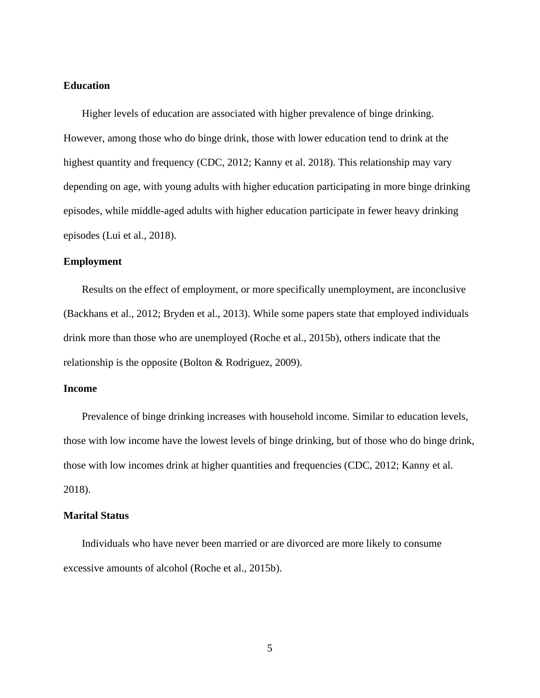# <span id="page-11-0"></span>**Education**

Higher levels of education are associated with higher prevalence of binge drinking. However, among those who do binge drink, those with lower education tend to drink at the highest quantity and frequency (CDC, 2012; Kanny et al. 2018). This relationship may vary depending on age, with young adults with higher education participating in more binge drinking episodes, while middle-aged adults with higher education participate in fewer heavy drinking episodes (Lui et al., 2018).

# <span id="page-11-1"></span>**Employment**

Results on the effect of employment, or more specifically unemployment, are inconclusive (Backhans et al., 2012; Bryden et al., 2013). While some papers state that employed individuals drink more than those who are unemployed (Roche et al., 2015b), others indicate that the relationship is the opposite (Bolton & Rodriguez, 2009).

## <span id="page-11-2"></span>**Income**

Prevalence of binge drinking increases with household income. Similar to education levels, those with low income have the lowest levels of binge drinking, but of those who do binge drink, those with low incomes drink at higher quantities and frequencies (CDC, 2012; Kanny et al. 2018).

#### <span id="page-11-3"></span>**Marital Status**

Individuals who have never been married or are divorced are more likely to consume excessive amounts of alcohol (Roche et al., 2015b).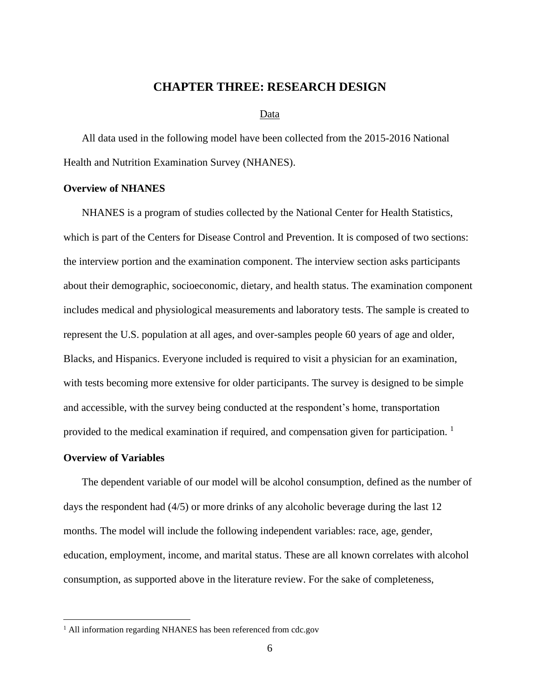# **CHAPTER THREE: RESEARCH DESIGN**

#### Data

<span id="page-12-1"></span><span id="page-12-0"></span>All data used in the following model have been collected from the 2015-2016 National Health and Nutrition Examination Survey (NHANES).

## <span id="page-12-2"></span>**Overview of NHANES**

NHANES is a program of studies collected by the National Center for Health Statistics, which is part of the Centers for Disease Control and Prevention. It is composed of two sections: the interview portion and the examination component. The interview section asks participants about their demographic, socioeconomic, dietary, and health status. The examination component includes medical and physiological measurements and laboratory tests. The sample is created to represent the U.S. population at all ages, and over-samples people 60 years of age and older, Blacks, and Hispanics. Everyone included is required to visit a physician for an examination, with tests becoming more extensive for older participants. The survey is designed to be simple and accessible, with the survey being conducted at the respondent's home, transportation provided to the medical examination if required, and compensation given for participation.<sup>1</sup>

# <span id="page-12-3"></span>**Overview of Variables**

The dependent variable of our model will be alcohol consumption, defined as the number of days the respondent had (4/5) or more drinks of any alcoholic beverage during the last 12 months. The model will include the following independent variables: race, age, gender, education, employment, income, and marital status. These are all known correlates with alcohol consumption, as supported above in the literature review. For the sake of completeness,

<sup>&</sup>lt;sup>1</sup> All information regarding NHANES has been referenced from cdc.gov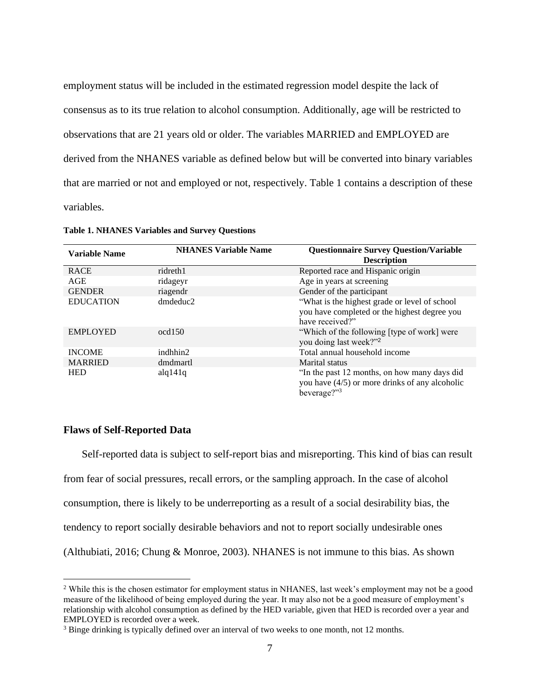employment status will be included in the estimated regression model despite the lack of consensus as to its true relation to alcohol consumption. Additionally, age will be restricted to observations that are 21 years old or older. The variables MARRIED and EMPLOYED are derived from the NHANES variable as defined below but will be converted into binary variables that are married or not and employed or not, respectively. Table 1 contains a description of these variables.

| <b>Variable Name</b> | <b>NHANES Variable Name</b> | <b>Questionnaire Survey Question/Variable</b><br><b>Description</b>                                               |
|----------------------|-----------------------------|-------------------------------------------------------------------------------------------------------------------|
| <b>RACE</b>          | ridreth1                    | Reported race and Hispanic origin                                                                                 |
| AGE                  | ridageyr                    | Age in years at screening                                                                                         |
| <b>GENDER</b>        | riagendr                    | Gender of the participant                                                                                         |
| <b>EDUCATION</b>     | dmdeduc2                    | "What is the highest grade or level of school"<br>you have completed or the highest degree you<br>have received?" |
| <b>EMPLOYED</b>      | $\alpha$ d $150$            | "Which of the following [type of work] were<br>you doing last week?" <sup>2</sup>                                 |
| <b>INCOME</b>        | indhhin2                    | Total annual household income                                                                                     |
| <b>MARRIED</b>       | dmdmartl                    | Marital status                                                                                                    |
| <b>HED</b>           | alq141q                     | "In the past 12 months, on how many days did<br>you have $(4/5)$ or more drinks of any alcoholic<br>beverage?"3   |

<span id="page-13-1"></span>**Table 1. NHANES Variables and Survey Questions**

#### <span id="page-13-0"></span>**Flaws of Self-Reported Data**

Self-reported data is subject to self-report bias and misreporting. This kind of bias can result from fear of social pressures, recall errors, or the sampling approach. In the case of alcohol consumption, there is likely to be underreporting as a result of a social desirability bias, the tendency to report socially desirable behaviors and not to report socially undesirable ones (Althubiati, 2016; Chung & Monroe, 2003). NHANES is not immune to this bias. As shown

<sup>&</sup>lt;sup>2</sup> While this is the chosen estimator for employment status in NHANES, last week's employment may not be a good measure of the likelihood of being employed during the year. It may also not be a good measure of employment's relationship with alcohol consumption as defined by the HED variable, given that HED is recorded over a year and EMPLOYED is recorded over a week.

<sup>&</sup>lt;sup>3</sup> Binge drinking is typically defined over an interval of two weeks to one month, not 12 months.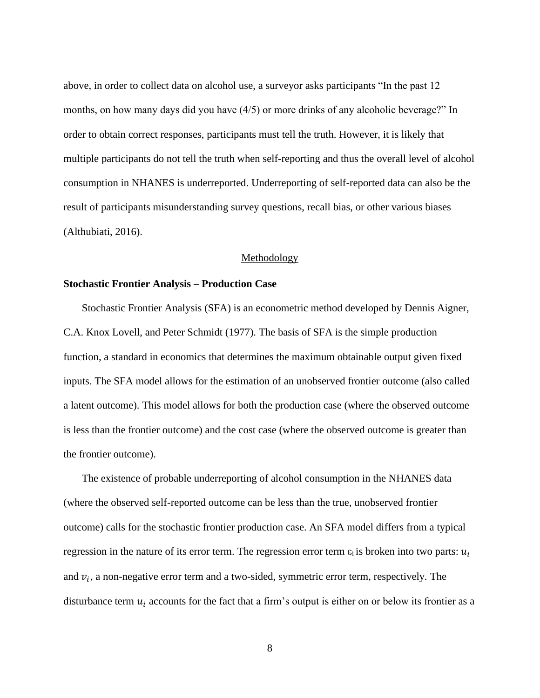above, in order to collect data on alcohol use, a surveyor asks participants "In the past 12 months, on how many days did you have (4/5) or more drinks of any alcoholic beverage?" In order to obtain correct responses, participants must tell the truth. However, it is likely that multiple participants do not tell the truth when self-reporting and thus the overall level of alcohol consumption in NHANES is underreported. Underreporting of self-reported data can also be the result of participants misunderstanding survey questions, recall bias, or other various biases (Althubiati, 2016).

#### Methodology

#### <span id="page-14-1"></span><span id="page-14-0"></span>**Stochastic Frontier Analysis – Production Case**

Stochastic Frontier Analysis (SFA) is an econometric method developed by Dennis Aigner, C.A. Knox Lovell, and Peter Schmidt (1977). The basis of SFA is the simple production function, a standard in economics that determines the maximum obtainable output given fixed inputs. The SFA model allows for the estimation of an unobserved frontier outcome (also called a latent outcome). This model allows for both the production case (where the observed outcome is less than the frontier outcome) and the cost case (where the observed outcome is greater than the frontier outcome).

The existence of probable underreporting of alcohol consumption in the NHANES data (where the observed self-reported outcome can be less than the true, unobserved frontier outcome) calls for the stochastic frontier production case. An SFA model differs from a typical regression in the nature of its error term. The regression error term  $\varepsilon_i$  is broken into two parts:  $u_i$ and  $v_i$ , a non-negative error term and a two-sided, symmetric error term, respectively. The disturbance term  $u_i$  accounts for the fact that a firm's output is either on or below its frontier as a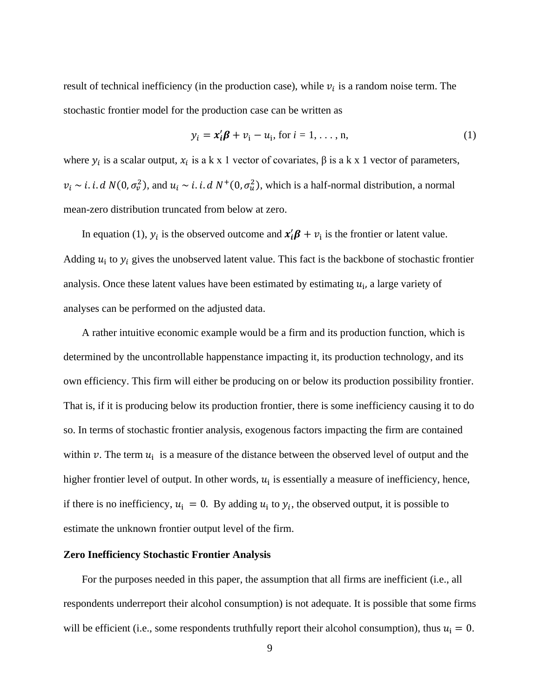result of technical inefficiency (in the production case), while  $v_i$  is a random noise term. The stochastic frontier model for the production case can be written as

$$
y_i = x_i'\boldsymbol{\beta} + v_i - u_i, \text{ for } i = 1, \dots, n,
$$
 (1)

where  $y_i$  is a scalar output,  $x_i$  is a k x 1 vector of covariates,  $\beta$  is a k x 1 vector of parameters,  $v_i \sim i$ . *i*. *d*  $N(0, \sigma_v^2)$ , and  $u_i \sim i$ . *i. d*  $N^+(0, \sigma_u^2)$ , which is a half-normal distribution, a normal mean-zero distribution truncated from below at zero.

In equation (1),  $y_i$  is the observed outcome and  $\mathbf{x}_i' \mathbf{\beta} + v_i$  is the frontier or latent value. Adding  $u_i$  to  $y_i$  gives the unobserved latent value. This fact is the backbone of stochastic frontier analysis. Once these latent values have been estimated by estimating  $u_i$ , a large variety of analyses can be performed on the adjusted data.

A rather intuitive economic example would be a firm and its production function, which is determined by the uncontrollable happenstance impacting it, its production technology, and its own efficiency. This firm will either be producing on or below its production possibility frontier. That is, if it is producing below its production frontier, there is some inefficiency causing it to do so. In terms of stochastic frontier analysis, exogenous factors impacting the firm are contained within v. The term  $u_i$  is a measure of the distance between the observed level of output and the higher frontier level of output. In other words,  $u_i$  is essentially a measure of inefficiency, hence, if there is no inefficiency,  $u_i = 0$ . By adding  $u_i$  to  $y_i$ , the observed output, it is possible to estimate the unknown frontier output level of the firm.

## <span id="page-15-0"></span>**Zero Inefficiency Stochastic Frontier Analysis**

For the purposes needed in this paper, the assumption that all firms are inefficient (i.e., all respondents underreport their alcohol consumption) is not adequate. It is possible that some firms will be efficient (i.e., some respondents truthfully report their alcohol consumption), thus  $u_i = 0$ .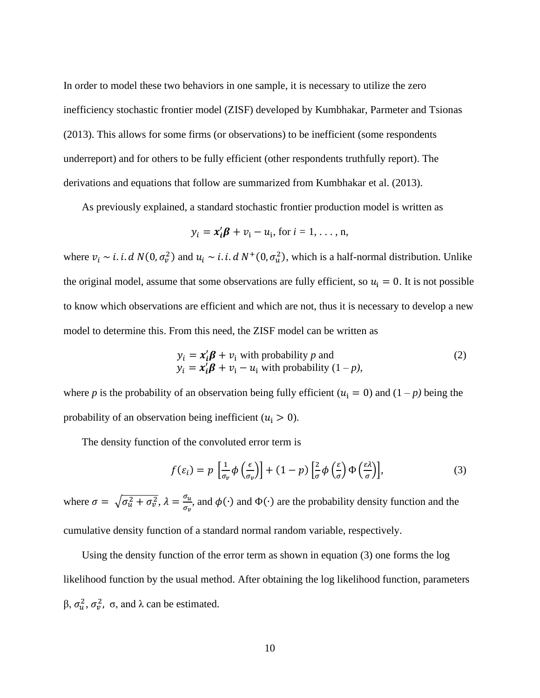In order to model these two behaviors in one sample, it is necessary to utilize the zero inefficiency stochastic frontier model (ZISF) developed by Kumbhakar, Parmeter and Tsionas (2013). This allows for some firms (or observations) to be inefficient (some respondents underreport) and for others to be fully efficient (other respondents truthfully report). The derivations and equations that follow are summarized from Kumbhakar et al. (2013).

As previously explained, a standard stochastic frontier production model is written as

$$
y_i = x_i'\boldsymbol{\beta} + v_i - u_i, \text{ for } i = 1, \ldots, n,
$$

where  $v_i \sim i$ . *i. d*  $N(0, \sigma_v^2)$  and  $u_i \sim i$ . *i. d*  $N^+(0, \sigma_u^2)$ , which is a half-normal distribution. Unlike the original model, assume that some observations are fully efficient, so  $u_i = 0$ . It is not possible to know which observations are efficient and which are not, thus it is necessary to develop a new model to determine this. From this need, the ZISF model can be written as

$$
y_i = x'_i \beta + v_i \text{ with probability } p \text{ and}
$$
  
\n
$$
y_i = x'_i \beta + v_i - u_i \text{ with probability } (1 - p),
$$
\n(2)

where *p* is the probability of an observation being fully efficient ( $u_i = 0$ ) and (1 – *p*) being the probability of an observation being inefficient ( $u_i > 0$ ).

The density function of the convoluted error term is

$$
f(\varepsilon_i) = p \left[ \frac{1}{\sigma_v} \phi \left( \frac{\varepsilon}{\sigma_v} \right) \right] + (1 - p) \left[ \frac{2}{\sigma} \phi \left( \frac{\varepsilon}{\sigma} \right) \Phi \left( \frac{\varepsilon \lambda}{\sigma} \right) \right],\tag{3}
$$

where  $\sigma = \sqrt{\sigma_u^2 + \sigma_v^2}$ ,  $\lambda = \frac{\sigma_u}{\sigma_u^2}$  $\frac{\partial u}{\partial v}$ , and  $\phi(\cdot)$  and  $\Phi(\cdot)$  are the probability density function and the cumulative density function of a standard normal random variable, respectively.

Using the density function of the error term as shown in equation (3) one forms the log likelihood function by the usual method. After obtaining the log likelihood function, parameters β,  $\sigma_u^2$ ,  $\sigma_v^2$ ,  $\sigma$ , and  $\lambda$  can be estimated.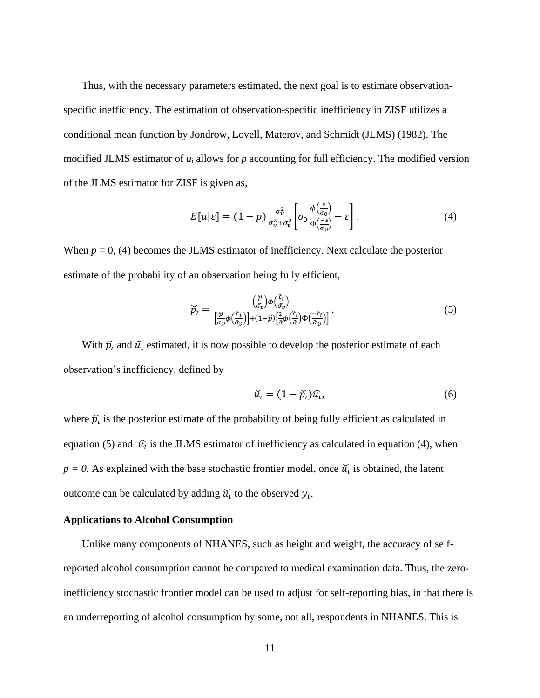Thus, with the necessary parameters estimated, the next goal is to estimate observationspecific inefficiency. The estimation of observation-specific inefficiency in ZISF utilizes a conditional mean function by Jondrow, Lovell, Materov, and Schmidt (JLMS) (1982). The modified JLMS estimator of  $u_i$  allows for  $p$  accounting for full efficiency. The modified version of the JLMS estimator for ZISF is given as,

$$
E[u|\varepsilon] = (1-p)\frac{\sigma_u^2}{\sigma_u^2 + \sigma_v^2} \left[\sigma_0 \frac{\phi(\frac{\varepsilon}{\sigma_0})}{\Phi(\frac{-\varepsilon}{\sigma_0})} - \varepsilon\right].
$$
 (4)

When  $p = 0$ , (4) becomes the JLMS estimator of inefficiency. Next calculate the posterior estimate of the probability of an observation being fully efficient,

$$
\widetilde{p}_t = \frac{\left(\frac{\widehat{p}}{\widehat{\sigma}_{\widehat{\nu}}}\right) \phi\left(\frac{\widehat{\varepsilon}_i}{\widehat{\sigma}_{\widehat{\nu}}}\right)}{\left[\frac{\widehat{p}}{\sigma_{\widehat{\nu}}} \phi\left(\frac{\widehat{\varepsilon}_i}{\widehat{\sigma}_{\widehat{\nu}}}\right)\right] + (1-\widehat{p})\left[\frac{2}{\widehat{\sigma}} \phi\left(\frac{\widehat{\varepsilon}_i}{\widehat{\sigma}}\right) \Phi\left(\frac{-\widehat{\varepsilon}_i}{\widehat{\sigma}_{\widehat{\nu}}}\right)\right]}.
$$
\n(5)

With  $\widetilde{p}_i$  and  $\widehat{u}_i$  estimated, it is now possible to develop the posterior estimate of each observation's inefficiency, defined by

$$
\widetilde{u}_t = (1 - \widetilde{p}_t)\widehat{u}_t,\tag{6}
$$

where  $\widetilde{p}_t$  is the posterior estimate of the probability of being fully efficient as calculated in equation (5) and  $\hat{u}_i$  is the JLMS estimator of inefficiency as calculated in equation (4), when  $p = 0$ . As explained with the base stochastic frontier model, once  $\tilde{u}_i$  is obtained, the latent outcome can be calculated by adding  $\widetilde{u}_i$  to the observed  $y_i$ .

# <span id="page-17-0"></span>**Applications to Alcohol Consumption**

Unlike many components of NHANES, such as height and weight, the accuracy of selfreported alcohol consumption cannot be compared to medical examination data. Thus, the zeroinefficiency stochastic frontier model can be used to adjust for self-reporting bias, in that there is an underreporting of alcohol consumption by some, not all, respondents in NHANES. This is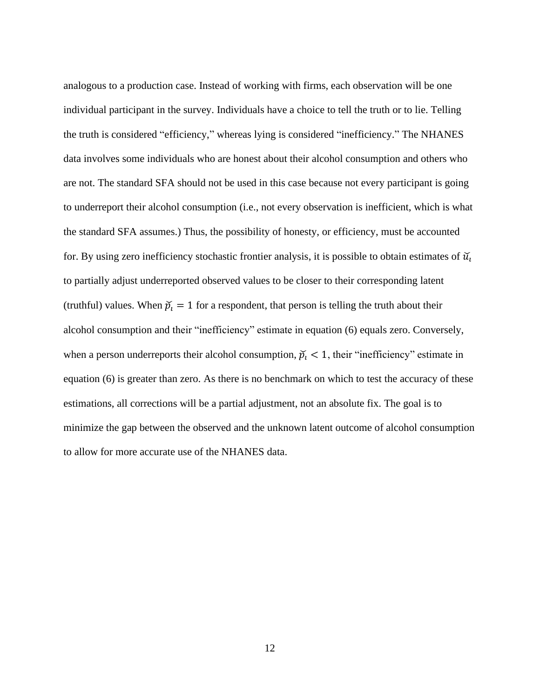analogous to a production case. Instead of working with firms, each observation will be one individual participant in the survey. Individuals have a choice to tell the truth or to lie. Telling the truth is considered "efficiency," whereas lying is considered "inefficiency." The NHANES data involves some individuals who are honest about their alcohol consumption and others who are not. The standard SFA should not be used in this case because not every participant is going to underreport their alcohol consumption (i.e., not every observation is inefficient, which is what the standard SFA assumes.) Thus, the possibility of honesty, or efficiency, must be accounted for. By using zero inefficiency stochastic frontier analysis, it is possible to obtain estimates of  $\mathcal{U}_l$ to partially adjust underreported observed values to be closer to their corresponding latent (truthful) values. When  $\tilde{p}_i = 1$  for a respondent, that person is telling the truth about their alcohol consumption and their "inefficiency" estimate in equation (6) equals zero. Conversely, when a person underreports their alcohol consumption,  $\tilde{p}_i < 1$ , their "inefficiency" estimate in equation (6) is greater than zero. As there is no benchmark on which to test the accuracy of these estimations, all corrections will be a partial adjustment, not an absolute fix. The goal is to minimize the gap between the observed and the unknown latent outcome of alcohol consumption to allow for more accurate use of the NHANES data.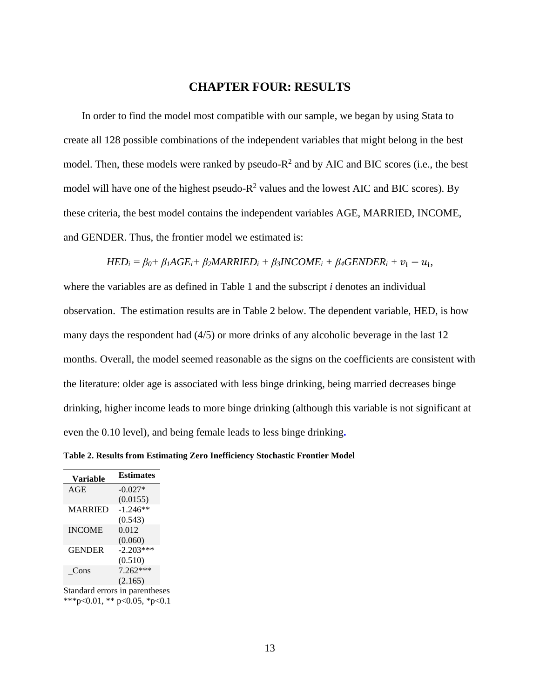# **CHAPTER FOUR: RESULTS**

<span id="page-19-0"></span>In order to find the model most compatible with our sample, we began by using Stata to create all 128 possible combinations of the independent variables that might belong in the best model. Then, these models were ranked by pseudo- $R^2$  and by AIC and BIC scores (i.e., the best model will have one of the highest pseudo- $R^2$  values and the lowest AIC and BIC scores). By these criteria, the best model contains the independent variables AGE, MARRIED, INCOME, and GENDER. Thus, the frontier model we estimated is:

 $HED_i = \beta_0 + \beta_1 AGE_i + \beta_2 MARRIED_i + \beta_3 INCOME_i + \beta_4 GENDER_i + v_i - u_i$ 

where the variables are as defined in Table 1 and the subscript *i* denotes an individual observation. The estimation results are in Table 2 below. The dependent variable, HED, is how many days the respondent had (4/5) or more drinks of any alcoholic beverage in the last 12 months. Overall, the model seemed reasonable as the signs on the coefficients are consistent with the literature: older age is associated with less binge drinking, being married decreases binge drinking, higher income leads to more binge drinking (although this variable is not significant at even the 0.10 level), and being female leads to less binge drinking**.** 

<span id="page-19-1"></span>**Table 2. Results from Estimating Zero Inefficiency Stochastic Frontier Model**

| <b>Variable</b> | <b>Estimates</b>               |
|-----------------|--------------------------------|
| AGE             | $-0.027*$                      |
|                 | (0.0155)                       |
| <b>MARRIED</b>  | $-1.246**$                     |
|                 | (0.543)                        |
| <b>INCOME</b>   | 0.012                          |
|                 | (0.060)                        |
| <b>GENDER</b>   | $-2.203***$                    |
|                 | (0.510)                        |
| Cons            | 7.262***                       |
|                 | (2.165)                        |
|                 | Standard errors in parentheses |

\*\*\*p<0.01, \*\* p<0.05, \*p<0.1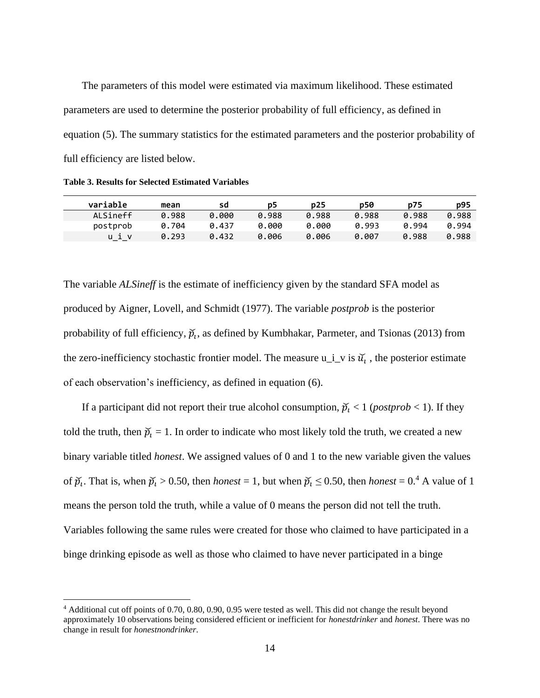The parameters of this model were estimated via maximum likelihood. These estimated parameters are used to determine the posterior probability of full efficiency, as defined in equation (5). The summary statistics for the estimated parameters and the posterior probability of full efficiency are listed below.

<span id="page-20-0"></span>**Table 3. Results for Selected Estimated Variables**

| variable | mean  | sd    | p5    | p25   | p50   | p75   | p95   |
|----------|-------|-------|-------|-------|-------|-------|-------|
| ALSineff | 0.988 | 0.000 | 0.988 | 0.988 | 0.988 | 0.988 | 0.988 |
| postprob | 0.704 | 0.437 | 0.000 | 0.000 | 0.993 | 0.994 | 0.994 |
|          | 0.293 | 0.432 | 0.006 | 0.006 | 0.007 | 0.988 | 0.988 |

The variable *ALSineff* is the estimate of inefficiency given by the standard SFA model as produced by Aigner, Lovell, and Schmidt (1977). The variable *postprob* is the posterior probability of full efficiency,  $\check{p}_t$ , as defined by Kumbhakar, Parmeter, and Tsionas (2013) from the zero-inefficiency stochastic frontier model. The measure  $u_i$  is  $\tilde{u}_i$ , the posterior estimate of each observation's inefficiency, as defined in equation (6).

If a participant did not report their true alcohol consumption,  $\tilde{p}_i < 1$  (*postprob* < 1). If they told the truth, then  $\tilde{p}_i = 1$ . In order to indicate who most likely told the truth, we created a new binary variable titled *honest*. We assigned values of 0 and 1 to the new variable given the values of  $\widetilde{p}_t$ . That is, when  $\widetilde{p}_t > 0.50$ , then *honest* = 1, but when  $\widetilde{p}_t \le 0.50$ , then *honest* = 0.<sup>4</sup> A value of 1 means the person told the truth, while a value of 0 means the person did not tell the truth. Variables following the same rules were created for those who claimed to have participated in a binge drinking episode as well as those who claimed to have never participated in a binge

<sup>4</sup> Additional cut off points of 0.70, 0.80, 0.90, 0.95 were tested as well. This did not change the result beyond approximately 10 observations being considered efficient or inefficient for *honestdrinker* and *honest*. There was no change in result for *honestnondrinker*.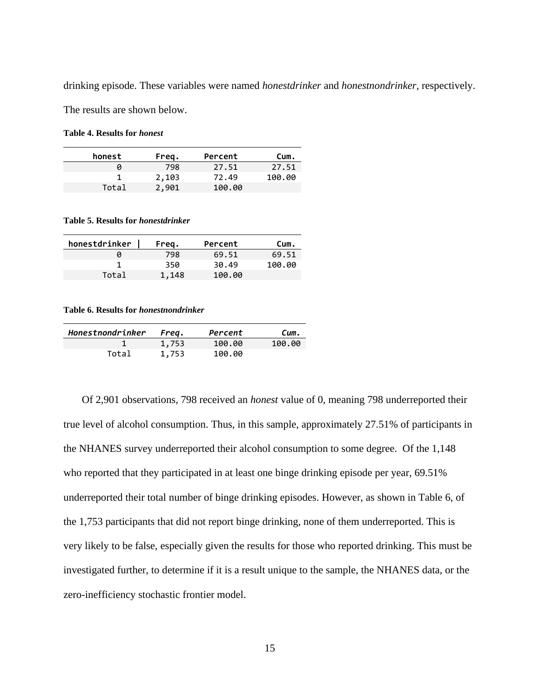drinking episode. These variables were named *honestdrinker* and *honestnondrinker,* respectively.

The results are shown below.

<span id="page-21-0"></span>**Table 4. Results for** *honest*

| honest | Freg. | Percent | Cum.   |
|--------|-------|---------|--------|
|        | 798   | 27.51   | 27.51  |
|        | 2,103 | 72.49   | 100.00 |
| Total  | 2,901 | 100.00  |        |

<span id="page-21-1"></span>**Table 5. Results for** *honestdrinker*

| honestdrinker | Freq. | Percent | Cum.   |
|---------------|-------|---------|--------|
|               | 798   | 69.51   | 69.51  |
|               | 350   | 30.49   | 100.00 |
| Total         | 1,148 | 100.00  |        |

<span id="page-21-2"></span>**Table 6. Results for** *honestnondrinker*

| Honestnondrinker | Freq. | Percent | Cum.   |
|------------------|-------|---------|--------|
|                  | 1,753 | 100.00  | 100.00 |
| Total            | 1,753 | 100.00  |        |

Of 2,901 observations, 798 received an *honest* value of 0, meaning 798 underreported their true level of alcohol consumption. Thus, in this sample, approximately 27.51% of participants in the NHANES survey underreported their alcohol consumption to some degree. Of the 1,148 who reported that they participated in at least one binge drinking episode per year, 69.51% underreported their total number of binge drinking episodes. However, as shown in Table 6, of the 1,753 participants that did not report binge drinking, none of them underreported. This is very likely to be false, especially given the results for those who reported drinking. This must be investigated further, to determine if it is a result unique to the sample, the NHANES data, or the zero-inefficiency stochastic frontier model.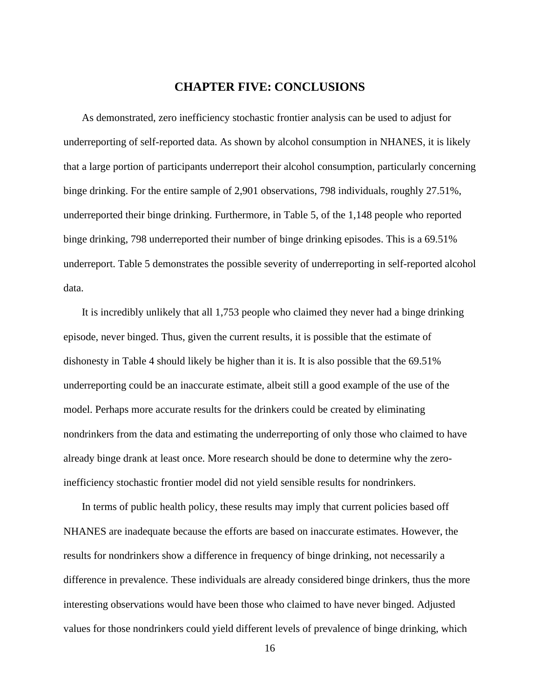# **CHAPTER FIVE: CONCLUSIONS**

<span id="page-22-0"></span>As demonstrated, zero inefficiency stochastic frontier analysis can be used to adjust for underreporting of self-reported data. As shown by alcohol consumption in NHANES, it is likely that a large portion of participants underreport their alcohol consumption, particularly concerning binge drinking. For the entire sample of 2,901 observations, 798 individuals, roughly 27.51%, underreported their binge drinking. Furthermore, in Table 5, of the 1,148 people who reported binge drinking, 798 underreported their number of binge drinking episodes. This is a 69.51% underreport. Table 5 demonstrates the possible severity of underreporting in self-reported alcohol data.

It is incredibly unlikely that all 1,753 people who claimed they never had a binge drinking episode, never binged. Thus, given the current results, it is possible that the estimate of dishonesty in Table 4 should likely be higher than it is. It is also possible that the 69.51% underreporting could be an inaccurate estimate, albeit still a good example of the use of the model. Perhaps more accurate results for the drinkers could be created by eliminating nondrinkers from the data and estimating the underreporting of only those who claimed to have already binge drank at least once. More research should be done to determine why the zeroinefficiency stochastic frontier model did not yield sensible results for nondrinkers.

In terms of public health policy, these results may imply that current policies based off NHANES are inadequate because the efforts are based on inaccurate estimates. However, the results for nondrinkers show a difference in frequency of binge drinking, not necessarily a difference in prevalence. These individuals are already considered binge drinkers, thus the more interesting observations would have been those who claimed to have never binged. Adjusted values for those nondrinkers could yield different levels of prevalence of binge drinking, which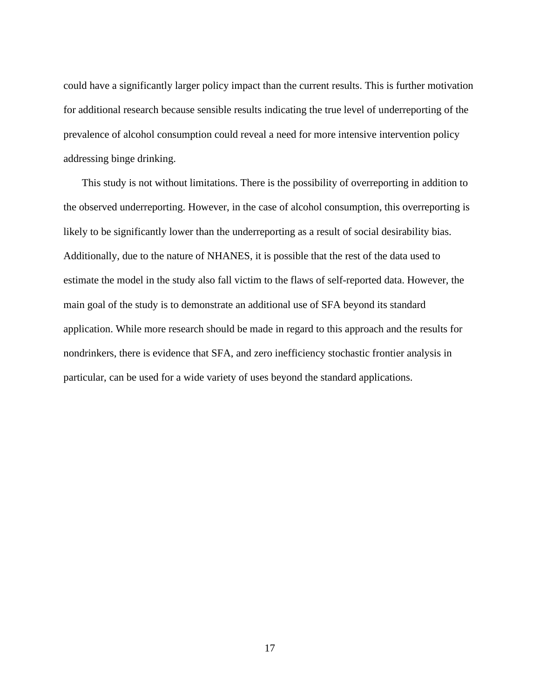could have a significantly larger policy impact than the current results. This is further motivation for additional research because sensible results indicating the true level of underreporting of the prevalence of alcohol consumption could reveal a need for more intensive intervention policy addressing binge drinking.

This study is not without limitations. There is the possibility of overreporting in addition to the observed underreporting. However, in the case of alcohol consumption, this overreporting is likely to be significantly lower than the underreporting as a result of social desirability bias. Additionally, due to the nature of NHANES, it is possible that the rest of the data used to estimate the model in the study also fall victim to the flaws of self-reported data. However, the main goal of the study is to demonstrate an additional use of SFA beyond its standard application. While more research should be made in regard to this approach and the results for nondrinkers, there is evidence that SFA, and zero inefficiency stochastic frontier analysis in particular, can be used for a wide variety of uses beyond the standard applications.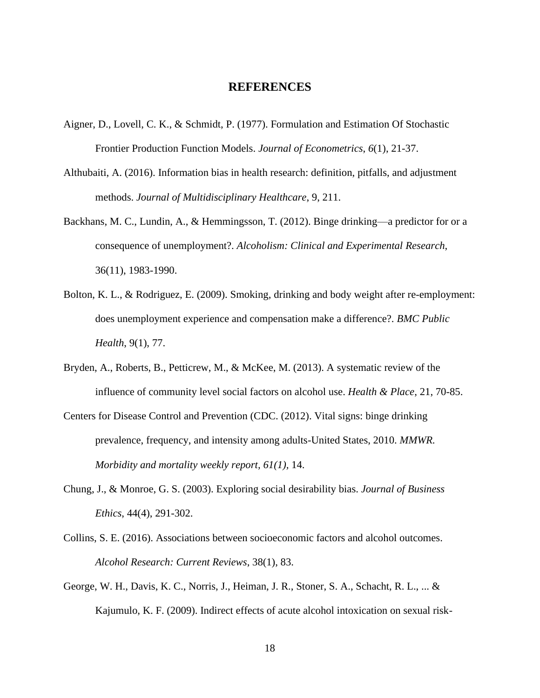# **REFERENCES**

- <span id="page-24-0"></span>Aigner, D., Lovell, C. K., & Schmidt, P. (1977). Formulation and Estimation Of Stochastic Frontier Production Function Models. *Journal of Econometrics*, *6*(1), 21-37.
- Althubaiti, A. (2016). Information bias in health research: definition, pitfalls, and adjustment methods. *Journal of Multidisciplinary Healthcare*, 9, 211.
- Backhans, M. C., Lundin, A., & Hemmingsson, T. (2012). Binge drinking—a predictor for or a consequence of unemployment?. *Alcoholism: Clinical and Experimental Research*, 36(11), 1983-1990.
- Bolton, K. L., & Rodriguez, E. (2009). Smoking, drinking and body weight after re-employment: does unemployment experience and compensation make a difference?. *BMC Public Health*, 9(1), 77.
- Bryden, A., Roberts, B., Petticrew, M., & McKee, M. (2013). A systematic review of the influence of community level social factors on alcohol use. *Health & Place*, 21, 70-85.
- Centers for Disease Control and Prevention (CDC. (2012). Vital signs: binge drinking prevalence, frequency, and intensity among adults-United States, 2010. *MMWR. Morbidity and mortality weekly report, 61(1),* 14.
- Chung, J., & Monroe, G. S. (2003). Exploring social desirability bias. *Journal of Business Ethics*, 44(4), 291-302.
- Collins, S. E. (2016). Associations between socioeconomic factors and alcohol outcomes. *Alcohol Research: Current Reviews*, 38(1), 83.
- George, W. H., Davis, K. C., Norris, J., Heiman, J. R., Stoner, S. A., Schacht, R. L., ... & Kajumulo, K. F. (2009). Indirect effects of acute alcohol intoxication on sexual risk-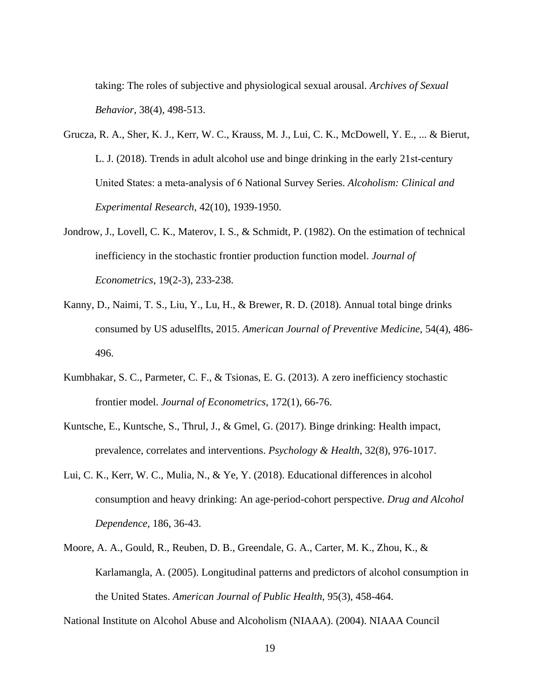taking: The roles of subjective and physiological sexual arousal. *Archives of Sexual Behavior*, 38(4), 498-513.

- Grucza, R. A., Sher, K. J., Kerr, W. C., Krauss, M. J., Lui, C. K., McDowell, Y. E., ... & Bierut, L. J.  $(2018)$ . Trends in adult alcohol use and binge drinking in the early 21st-century United States: a meta‐analysis of 6 National Survey Series. *Alcoholism: Clinical and Experimental Research*, 42(10), 1939-1950.
- Jondrow, J., Lovell, C. K., Materov, I. S., & Schmidt, P. (1982). On the estimation of technical inefficiency in the stochastic frontier production function model. *Journal of Econometrics*, 19(2-3), 233-238.
- Kanny, D., Naimi, T. S., Liu, Y., Lu, H., & Brewer, R. D. (2018). Annual total binge drinks consumed by US aduselflts, 2015. *American Journal of Preventive Medicine*, 54(4), 486- 496.
- Kumbhakar, S. C., Parmeter, C. F., & Tsionas, E. G. (2013). A zero inefficiency stochastic frontier model. *Journal of Econometrics*, 172(1), 66-76.
- Kuntsche, E., Kuntsche, S., Thrul, J., & Gmel, G. (2017). Binge drinking: Health impact, prevalence, correlates and interventions. *Psychology & Health*, 32(8), 976-1017.
- Lui, C. K., Kerr, W. C., Mulia, N., & Ye, Y. (2018). Educational differences in alcohol consumption and heavy drinking: An age-period-cohort perspective. *Drug and Alcohol Dependence*, 186, 36-43.
- Moore, A. A., Gould, R., Reuben, D. B., Greendale, G. A., Carter, M. K., Zhou, K., & Karlamangla, A. (2005). Longitudinal patterns and predictors of alcohol consumption in the United States. *American Journal of Public Health*, 95(3), 458-464.

National Institute on Alcohol Abuse and Alcoholism (NIAAA). (2004). NIAAA Council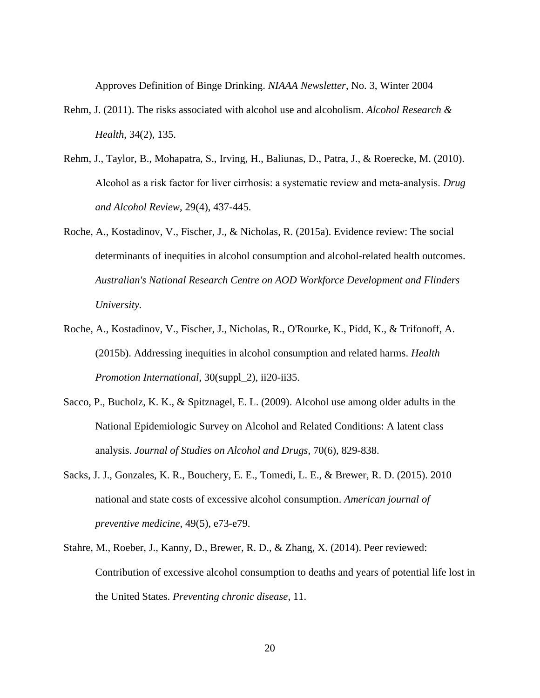Approves Definition of Binge Drinking. *NIAAA Newsletter*, No. 3, Winter 2004

- Rehm, J. (2011). The risks associated with alcohol use and alcoholism. *Alcohol Research & Health*, 34(2), 135.
- Rehm, J., Taylor, B., Mohapatra, S., Irving, H., Baliunas, D., Patra, J., & Roerecke, M. (2010). Alcohol as a risk factor for liver cirrhosis: a systematic review and meta‐analysis. *Drug and Alcohol Review*, 29(4), 437-445.
- Roche, A., Kostadinov, V., Fischer, J., & Nicholas, R. (2015a). Evidence review: The social determinants of inequities in alcohol consumption and alcohol-related health outcomes. *Australian's National Research Centre on AOD Workforce Development and Flinders University.*
- Roche, A., Kostadinov, V., Fischer, J., Nicholas, R., O'Rourke, K., Pidd, K., & Trifonoff, A. (2015b). Addressing inequities in alcohol consumption and related harms. *Health Promotion International*, 30(suppl\_2), ii20-ii35.
- Sacco, P., Bucholz, K. K., & Spitznagel, E. L. (2009). Alcohol use among older adults in the National Epidemiologic Survey on Alcohol and Related Conditions: A latent class analysis. *Journal of Studies on Alcohol and Drugs*, 70(6), 829-838.
- Sacks, J. J., Gonzales, K. R., Bouchery, E. E., Tomedi, L. E., & Brewer, R. D. (2015). 2010 national and state costs of excessive alcohol consumption. *American journal of preventive medicine*, 49(5), e73-e79.
- Stahre, M., Roeber, J., Kanny, D., Brewer, R. D., & Zhang, X. (2014). Peer reviewed: Contribution of excessive alcohol consumption to deaths and years of potential life lost in the United States. *Preventing chronic disease*, 11.